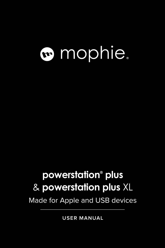# mophie.

### **powerstation® plus** & **powerstation plus** XL

Made for Apple and USB devices

**USER MANUAL**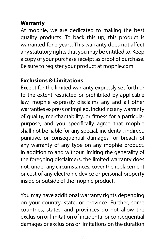#### **Warranty**

At mophie, we are dedicated to making the best quality products. To back this up, this product is warranted for 2 years. This warranty does not affect any statutory rights that you may be entitled to. Keep a copy of your purchase receipt as proof of purchase. Be sure to register your product at [mophie.com.](http://www.mophie.com.) 

#### **Exclusions & Limitations**

Except for the limited warranty expressly set forth or to the extent restricted or prohibited by applicable law, mophie expressly disclaims any and all other warranties express or implied, including any warranty of quality, merchantability, or fitness for a particular purpose, and you specifically agree that mophie shall not be liable for any special, incidental, indirect, punitive, or consequential damages for breach of any warranty of any type on any mophie product. In addition to and without limiting the generality of the foregoing disclaimers, the limited warranty does not, under any circumstances, cover the replacement or cost of any electronic device or personal property inside or outside of the mophie product.

You may have additional warranty rights depending on your country, state, or province. Further, some countries, states, and provinces do not allow the exclusion or limitation of incidental or consequential damages or exclusions or limitations on the duration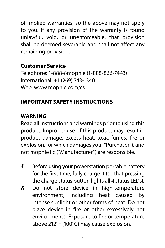of implied warranties, so the above may not apply to you. If any provision of the warranty is found unlawful, void, or unenforceable, that provision shall be deemed severable and shall not affect any remaining provision.

#### **Customer Service**

Telephone: 1-888-8mophie (1-888-866-7443) International: +1 (269) 743-1340 Web: [www.mophie.com/cs](http://www.mophie.com/cs)

#### **IMPORTANT SAFETY INSTRUCTIONS**

#### **WARNING**

Read all instructions and warnings prior to using this product. Improper use of this product may result in product damage, excess heat, toxic fumes, fire or explosion, for which damages you ("Purchaser"), and not mophie llc ("Manufacturer") are responsible.

- **EX** Before using your powerstation portable battery for the first time, fully charge it (so that pressing the charge status button lights all 4 status LEDs).
- **2** Do not store device in high-temperature environment, including heat caused by intense sunlight or other forms of heat. Do not place device in fire or other excessively hot environments. Exposure to fire or temperature above 212°F (100°C) may cause explosion.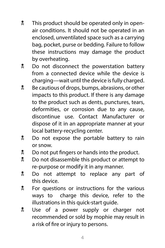- **X** This product should be operated only in openair conditions. It should not be operated in an enclosed, unventilated space such as a carrying bag, pocket, purse or bedding. Failure to follow these instructions may damage the product by overheating.
- **Do not disconnect the powerstation battery** from a connected device while the device is charging—wait until the device is fully charged.
- **E** Be cautious of drops, bumps, abrasions, or other impacts to this product. If there is any damage to the product such as dents, punctures, tears, deformities, or corrosion due to any cause, discontinue use. Contact Manufacturer or dispose of it in an appropriate manner at your local battery-recycling center.
- **Do not expose the portable battery to rain** or snow.
- $\frac{1}{2}$  Do not put fingers or hands into the product.
- **Do not disassemble this product or attempt to** re-purpose or modify it in any manner.
- **Do** not attempt to replace any part of this device.
- **EX** For questions or instructions for the various ways to charge this device, refer to the illustrations in this quick-start guide.
- **E** Use of a power supply or charger not recommended or sold by mophie may result in a risk of fire or injury to persons.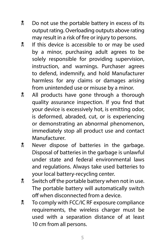- **D** Do not use the portable battery in excess of its output rating. Overloading outputs above rating may result in a risk of fire or injury to persons.
- **If this device is accessible to or may be used** by a minor, purchasing adult agrees to be solely responsible for providing supervision, instruction, and warnings. Purchaser agrees to defend, indemnify, and hold Manufacturer harmless for any claims or damages arising from unintended use or misuse by a minor.
- **All products have gone through a thorough** quality assurance inspection. If you find that your device is excessively hot, is emitting odor, is deformed, abraded, cut, or is experiencing or demonstrating an abnormal phenomenon, immediately stop all product use and contact Manufacturer.
- **R** Never dispose of batteries in the garbage. Disposal of batteries in the garbage is unlawful under state and federal environmental laws and regulations. Always take used batteries to your local battery-recycling center.
- **W** Switch off the portable battery when not in use. The portable battery will automatically switch off when disconnected from a device.
- **Notak** To comply with FCC/IC RF exposure compliance requirements, the wireless charger must be used with a separation distance of at least 10 cm from all persons.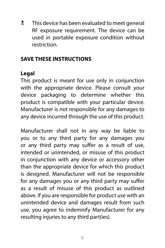**X** This device has been evaluated to meet general RF exposure requirement. The device can be used in portable exposure condition without restriction.

#### **SAVE THESE INSTRUCTIONS**

#### **Legal**

This product is meant for use only in conjunction with the appropriate device. Please consult your device packaging to determine whether this product is compatible with your particular device. Manufacturer is not responsible for any damages to any device incurred through the use of this product.

Manufacturer shall not in any way be liable to you or to any third party for any damages you or any third party may suffer as a result of use, intended or unintended, or misuse of this product in conjunction with any device or accessory other than the appropriate device for which this product is designed. Manufacturer will not be responsible for any damages you or any third party may suffer as a result of misuse of this product as outlined above. If you are responsible for product use with an unintended device and damages result from such use, you agree to indemnify Manufacturer for any resulting injuries to any third part(ies).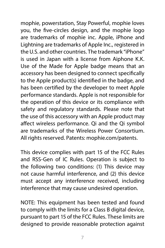mophie, powerstation, Stay Powerful, mophie loves you, the five-circles design, and the mophie logo are trademarks of mophie inc. Apple, iPhone and Lightning are trademarks of Apple Inc., registered in the U.S. and other countries. The trademark "iPhone" is used in Japan with a license from Aiphone K.K. Use of the Made for Apple badge means that an accessory has been designed to connect specifically to the Apple product(s) identified in the badge, and has been certified by the developer to meet Apple performance standards. Apple is not responsible for the operation of this device or its compliance with safety and regulatory standards. Please note that the use of this accessory with an Apple product may affect wireless performance. Qi and the Qi symbol are trademarks of the Wireless Power Consortium. All rights reserved. Patents: [mophie.com/patents.](http://www.mophie.com/patents.)

This device complies with part 15 of the FCC Rules and RSS-Gen of IC Rules. Operation is subject to the following two conditions: (1) This device may not cause harmful interference, and (2) this device must accept any interference received, including interference that may cause undesired operation.

NOTE: This equipment has been tested and found to comply with the limits for a Class B digital device, pursuant to part 15 of the FCC Rules. These limits are designed to provide reasonable protection against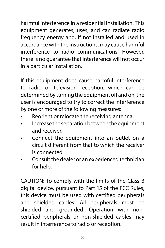harmful interference in a residential installation. This equipment generates, uses, and can radiate radio frequency energy and, if not installed and used in accordance with the instructions, may cause harmful interference to radio communications. However, there is no guarantee that interference will not occur in a particular installation.

If this equipment does cause harmful interference to radio or television reception, which can be determined by turning the equipment off and on, the user is encouraged to try to correct the interference by one or more of the following measures:

- Reorient or relocate the receiving antenna.
- Increase the separation between the equipment and receiver.
- Connect the equipment into an outlet on a circuit different from that to which the receiver is connected.
- Consult the dealer or an experienced technician for help.

CAUTION: To comply with the limits of the Class B digital device, pursuant to Part 15 of the FCC Rules, this device must be used with certified peripherals and shielded cables. All peripherals must be shielded and grounded. Operation with noncertified peripherals or non-shielded cables may result in interference to radio or reception.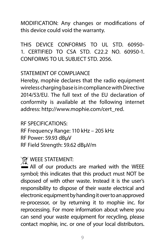MODIFICATION: Any changes or modifications of this device could void the warranty.

THIS DEVICE CONFORMS TO UL STD. 60950-1. CERTIFIED TO CSA STD. C22.2 NO. 60950-1. CONFORMS TO UL SUBJECT STD. 2056.

#### STATEMENT OF COMPI IANCE

Hereby, mophie declares that the radio equipment wireless charging base is in compliance with Directive 2014/53/EU. The full text of the EU declaration of conformity is available at the following internet address: [http://www.mophie.com/cert\\_red.](http://www.mophie.com/cert_red)

RF SPECIFICATIONS:

RF Frequency Range: 110 kHz – 205 kHz RF Power: 59.93 dBµV RF Field Strength: 59.62 dBµV/m

#### **WEEE STATEMENT:**

 $\sum_{n=1}^{\infty}$  All of our products are marked with the WEEE symbol; this indicates that this product must NOT be disposed of with other waste. Instead it is the user's responsibility to dispose of their waste electrical and electronic equipment by handing it over to an approved re-processor, or by returning it to mophie inc. for reprocessing. For more information about where you can send your waste equipment for recycling, please contact mophie, inc. or one of your local distributors.